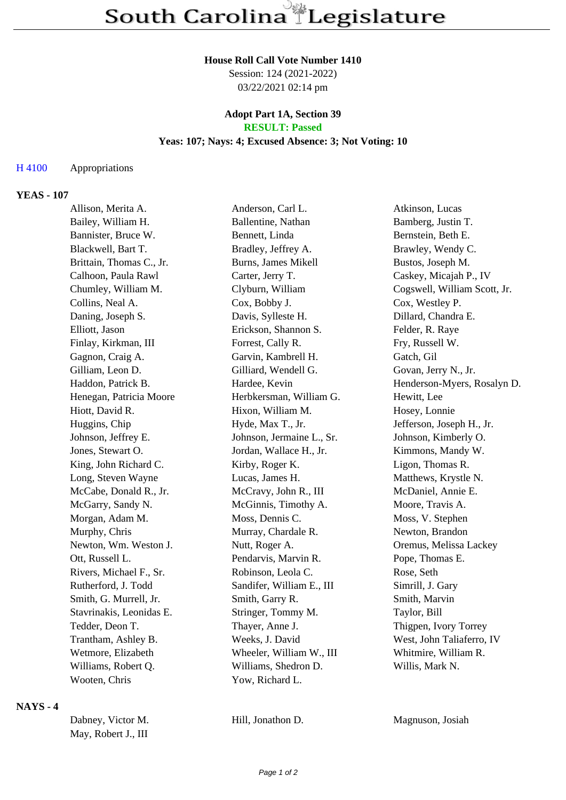#### **House Roll Call Vote Number 1410**

Session: 124 (2021-2022) 03/22/2021 02:14 pm

#### **Adopt Part 1A, Section 39 RESULT: Passed**

# **Yeas: 107; Nays: 4; Excused Absence: 3; Not Voting: 10**

#### H 4100 Appropriations

#### **YEAS - 107**

| Allison, Merita A.       | Anderson, Carl L.          | Atkinson, Lucas              |
|--------------------------|----------------------------|------------------------------|
| Bailey, William H.       | Ballentine, Nathan         | Bamberg, Justin T.           |
| Bannister, Bruce W.      | Bennett, Linda             | Bernstein, Beth E.           |
| Blackwell, Bart T.       | Bradley, Jeffrey A.        | Brawley, Wendy C.            |
| Brittain, Thomas C., Jr. | <b>Burns, James Mikell</b> | Bustos, Joseph M.            |
| Calhoon, Paula Rawl      | Carter, Jerry T.           | Caskey, Micajah P., IV       |
| Chumley, William M.      | Clyburn, William           | Cogswell, William Scott, Jr. |
| Collins, Neal A.         | Cox, Bobby J.              | Cox, Westley P.              |
| Daning, Joseph S.        | Davis, Sylleste H.         | Dillard, Chandra E.          |
| Elliott, Jason           | Erickson, Shannon S.       | Felder, R. Raye              |
| Finlay, Kirkman, III     | Forrest, Cally R.          | Fry, Russell W.              |
| Gagnon, Craig A.         | Garvin, Kambrell H.        | Gatch, Gil                   |
| Gilliam, Leon D.         | Gilliard, Wendell G.       | Govan, Jerry N., Jr.         |
| Haddon, Patrick B.       | Hardee, Kevin              | Henderson-Myers, Rosalyn D.  |
| Henegan, Patricia Moore  | Herbkersman, William G.    | Hewitt, Lee                  |
| Hiott, David R.          | Hixon, William M.          | Hosey, Lonnie                |
| Huggins, Chip            | Hyde, Max T., Jr.          | Jefferson, Joseph H., Jr.    |
| Johnson, Jeffrey E.      | Johnson, Jermaine L., Sr.  | Johnson, Kimberly O.         |
| Jones, Stewart O.        | Jordan, Wallace H., Jr.    | Kimmons, Mandy W.            |
| King, John Richard C.    | Kirby, Roger K.            | Ligon, Thomas R.             |
| Long, Steven Wayne       | Lucas, James H.            | Matthews, Krystle N.         |
| McCabe, Donald R., Jr.   | McCravy, John R., III      | McDaniel, Annie E.           |
| McGarry, Sandy N.        | McGinnis, Timothy A.       | Moore, Travis A.             |
| Morgan, Adam M.          | Moss, Dennis C.            | Moss, V. Stephen             |
| Murphy, Chris            | Murray, Chardale R.        | Newton, Brandon              |
| Newton, Wm. Weston J.    | Nutt, Roger A.             | Oremus, Melissa Lackey       |
| Ott, Russell L.          | Pendarvis, Marvin R.       | Pope, Thomas E.              |
| Rivers, Michael F., Sr.  | Robinson, Leola C.         | Rose, Seth                   |
| Rutherford, J. Todd      | Sandifer, William E., III  | Simrill, J. Gary             |
| Smith, G. Murrell, Jr.   | Smith, Garry R.            | Smith, Marvin                |
| Stavrinakis, Leonidas E. | Stringer, Tommy M.         | Taylor, Bill                 |
| Tedder, Deon T.          | Thayer, Anne J.            | Thigpen, Ivory Torrey        |
| Trantham, Ashley B.      | Weeks, J. David            | West, John Taliaferro, IV    |
| Wetmore, Elizabeth       | Wheeler, William W., III   | Whitmire, William R.         |
| Williams, Robert Q.      | Williams, Shedron D.       | Willis, Mark N.              |
| Wooten, Chris            | Yow, Richard L.            |                              |

## **NAYS - 4**

| Dabney, Victor M.   |  |
|---------------------|--|
| May, Robert J., III |  |

Hill, Jonathon D. Magnuson, Josiah